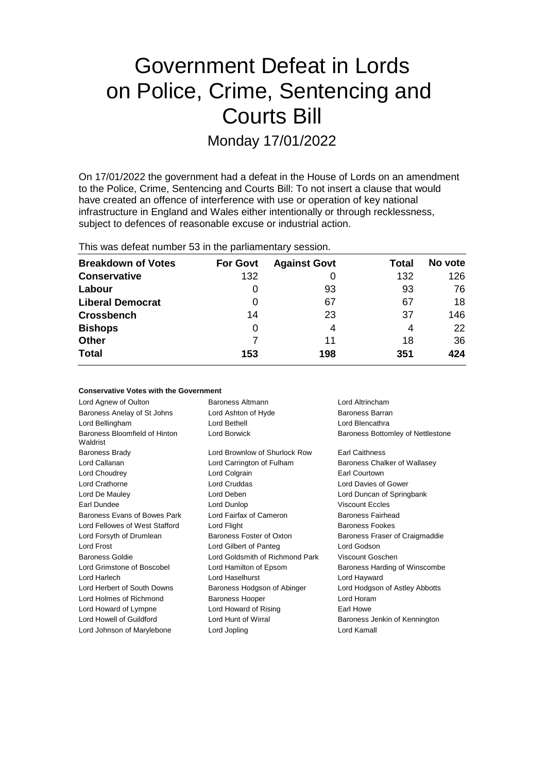# Government Defeat in Lords on Police, Crime, Sentencing and Courts Bill

Monday 17/01/2022

On 17/01/2022 the government had a defeat in the House of Lords on an amendment to the Police, Crime, Sentencing and Courts Bill: To not insert a clause that would have created an offence of interference with use or operation of key national infrastructure in England and Wales either intentionally or through recklessness, subject to defences of reasonable excuse or industrial action.

This was defeat number 53 in the parliamentary session.

| <b>Breakdown of Votes</b> | <b>For Govt</b> | <b>Against Govt</b> | Total | No vote |
|---------------------------|-----------------|---------------------|-------|---------|
| <b>Conservative</b>       | 132             |                     | 132   | 126     |
| Labour                    | O               | 93                  | 93    | 76      |
| <b>Liberal Democrat</b>   | 0               | 67                  | 67    | 18      |
| <b>Crossbench</b>         | 14              | 23                  | 37    | 146     |
| <b>Bishops</b>            | 0               | 4                   | 4     | 22      |
| <b>Other</b>              |                 | 11                  | 18    | 36      |
| <b>Total</b>              | 153             | 198                 | 351   | 424     |

#### **Conservative Votes with the Government**

| Lord Agnew of Oulton                      | Baroness Altmann                       | Lord Altrincham                   |  |
|-------------------------------------------|----------------------------------------|-----------------------------------|--|
| Baroness Anelay of St Johns               | Baroness Barran<br>Lord Ashton of Hyde |                                   |  |
| Lord Bellingham                           | Lord Bethell                           | Lord Blencathra                   |  |
| Baroness Bloomfield of Hinton<br>Waldrist | Lord Borwick                           | Baroness Bottomley of Nettlestone |  |
| <b>Baroness Brady</b>                     | Lord Brownlow of Shurlock Row          | <b>Earl Caithness</b>             |  |
| Lord Callanan                             | Lord Carrington of Fulham              | Baroness Chalker of Wallasey      |  |
| Lord Choudrey                             | Lord Colgrain                          | Earl Courtown                     |  |
| Lord Crathorne                            | Lord Cruddas                           | Lord Davies of Gower              |  |
| Lord De Mauley                            | Lord Deben                             | Lord Duncan of Springbank         |  |
| Earl Dundee                               | Lord Dunlop                            | <b>Viscount Eccles</b>            |  |
| Baroness Evans of Bowes Park              | Lord Fairfax of Cameron                | Baroness Fairhead                 |  |
| Lord Fellowes of West Stafford            | Lord Flight                            | <b>Baroness Fookes</b>            |  |
| Lord Forsyth of Drumlean                  | Baroness Foster of Oxton               | Baroness Fraser of Craigmaddie    |  |
| Lord Frost                                | Lord Gilbert of Panteg                 | Lord Godson                       |  |
| Baroness Goldie                           | Lord Goldsmith of Richmond Park        | Viscount Goschen                  |  |
| Lord Grimstone of Boscobel                | Lord Hamilton of Epsom                 | Baroness Harding of Winscombe     |  |
| Lord Harlech                              | Lord Haselhurst                        | Lord Hayward                      |  |
| Lord Herbert of South Downs               | Baroness Hodgson of Abinger            | Lord Hodgson of Astley Abbotts    |  |
| Lord Holmes of Richmond                   | <b>Baroness Hooper</b>                 | Lord Horam                        |  |
| Lord Howard of Lympne                     | Lord Howard of Rising                  | Earl Howe                         |  |
| Lord Howell of Guildford                  | Lord Hunt of Wirral                    | Baroness Jenkin of Kennington     |  |
| Lord Johnson of Marylebone                | Lord Jopling                           | Lord Kamall                       |  |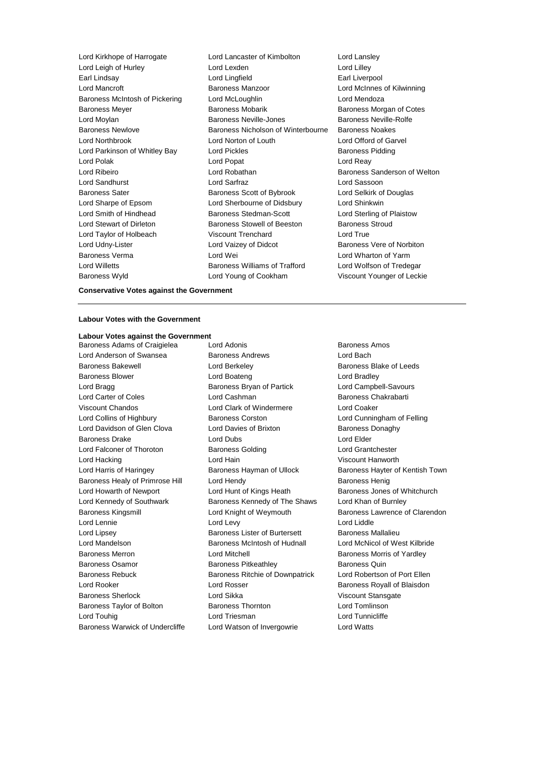Lord Kirkhope of Harrogate Lord Lancaster of Kimbolton Lord Lansley Lord Leigh of Hurley Lord Lexden Lord Lilley Earl Lindsay Lord Lingfield Earl Liverpool Lord Mancroft Baroness Manzoor Lord McInnes of Kilwinning Baroness McIntosh of Pickering Lord McLoughlin Corresponding Lord Mendoza Baroness Meyer Baroness Mobarik Baroness Morgan of Cotes Lord Moylan Baroness Neville-Jones Baroness Neville-Rolfe Baroness Newlove Baroness Nicholson of Winterbourne Baroness Noakes Lord Northbrook Lord Norton of Louth Lord Offord of Garvel Lord Parkinson of Whitley Bay Lord Pickles **Baroness Pidding** Lord Polak Lord Popat Lord Reay Lord Ribeiro Lord Robathan Baroness Sanderson of Welton Lord Sandhurst Lord Sarfraz Lord Sassoon Baroness Sater **Baroness Scott of Bybrook** Lord Selkirk of Douglas Lord Sharpe of Epsom Lord Sherbourne of Didsbury Lord Shinkwin Lord Smith of Hindhead **Baroness Stedman-Scott** Lord Sterling of Plaistow Lord Stewart of Dirleton Baroness Stowell of Beeston Baroness Stroud Lord Taylor of Holbeach Viscount Trenchard Lord True Lord Udny-Lister Lord Vaizey of Didcot Baroness Vere of Norbiton Baroness Verma Lord Wei Lord Wharton of Yarm Lord Willetts **Baroness Williams of Trafford** Lord Wolfson of Tredegar Baroness Wyld Lord Young of Cookham Viscount Younger of Leckie

### **Conservative Votes against the Government**

#### **Labour Votes with the Government**

## **Labour Votes against the Government**

Lord Anderson of Swansea Baroness Andrews Bachdrews Lord Bach Baroness Bakewell **Baroness** Bakewell **Lord Berkeley Baroness Blake of Leeds** Baroness Blower Lord Boateng Lord Bradley Lord Bragg **Baroness Bryan of Partick** Lord Campbell-Savours Lord Carter of Coles **Lord Cashman** Baroness Chakrabarti Viscount Chandos Lord Clark of Windermere Lord Coaker Lord Collins of Highbury Baroness Corston Lord Cunningham of Felling Lord Davidson of Glen Clova Lord Davies of Brixton Baroness Donaghy Baroness Drake Lord Dubs Lord Elder Lord Falconer of Thoroton Baroness Golding Lord Grantchester Lord Hacking Lord Hain Viscount Hanworth Lord Harris of Haringey **Baroness Hayman of Ullock** Baroness Hayter of Kentish Town Baroness Healy of Primrose Hill Lord Hendy Contract and Baroness Henig Lord Howarth of Newport Lord Hunt of Kings Heath Baroness Jones of Whitchurch Lord Kennedy of Southwark Baroness Kennedy of The Shaws Lord Khan of Burnley Baroness Kingsmill **Example 2** Lord Knight of Weymouth **Baroness Lawrence of Clarendon** Lord Lennie **Lord Lord Lord Lord Lord Lord Lord Liddle** Lord Lipsey Baroness Lister of Burtersett Baroness Mallalieu Lord Mandelson Baroness McIntosh of Hudnall Lord McNicol of West Kilbride Baroness Merron **Baroness Morton Lord Mitchell** Baroness Morris of Yardley Baroness Osamor **Baroness Pitkeathley** Baroness Quin Baroness Rebuck **Baroness Ritchie of Downpatrick** Lord Robertson of Port Ellen Lord Rooker Lord Rosser Baroness Royall of Blaisdon Baroness Sherlock Lord Sikka Viscount Stansgate Baroness Taylor of Bolton **Baroness Thornton** Baroness Thornton **Lord Tomlinson** Lord Touhig **Lord Triesman** Lord Triesman **Lord Tunnicliffe** Baroness Warwick of Undercliffe Lord Watson of Invergowrie Lord Watts

Baroness Adams of Craigielea Lord Adonis **Baroness Amos** Baroness Amos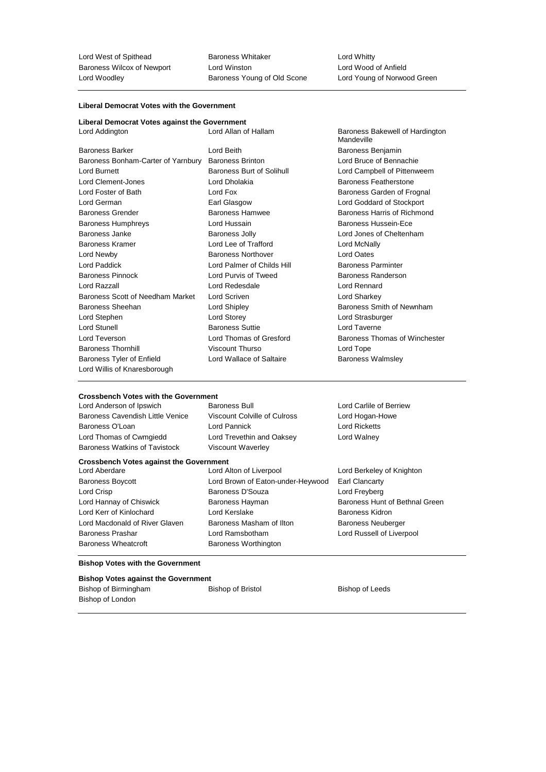Lord West of Spithead Baroness Whitaker Lord Whitty Baroness Wilcox of Newport Lord Winston<br>
Lord Wood of Anfield<br>
Lord Woodley **Come** Baroness Young of Old Scone Lord Young of Norwood Green Lord Woodley **Baroness Young of Old Scone** 

#### **Liberal Democrat Votes with the Government**

| Liberal Democrat Votes against the Government |                            |                                               |
|-----------------------------------------------|----------------------------|-----------------------------------------------|
| Lord Addington                                | Lord Allan of Hallam       | Baroness Bakewell of Hardington<br>Mandeville |
| <b>Baroness Barker</b>                        | Lord Beith                 | Baroness Benjamin                             |
| Baroness Bonham-Carter of Yarnbury            | <b>Baroness Brinton</b>    | Lord Bruce of Bennachie                       |
| <b>Lord Burnett</b>                           | Baroness Burt of Solihull  | Lord Campbell of Pittenweem                   |
| Lord Clement-Jones                            | Lord Dholakia              | Baroness Featherstone                         |
| Lord Foster of Bath                           | Lord Fox                   | Baroness Garden of Frognal                    |
| Lord German                                   | Earl Glasgow               | Lord Goddard of Stockport                     |
| <b>Baroness Grender</b>                       | Baroness Hamwee            | Baroness Harris of Richmond                   |
| <b>Baroness Humphreys</b>                     | Lord Hussain               | Baroness Hussein-Ece                          |
| Baroness Janke                                | Baroness Jolly             | Lord Jones of Cheltenham                      |
| Baroness Kramer                               | Lord Lee of Trafford       | Lord McNally                                  |
| Lord Newby                                    | <b>Baroness Northover</b>  | Lord Oates                                    |
| <b>Lord Paddick</b>                           | Lord Palmer of Childs Hill | <b>Baroness Parminter</b>                     |
| <b>Baroness Pinnock</b>                       | Lord Purvis of Tweed       | Baroness Randerson                            |
| Lord Razzall                                  | Lord Redesdale             | Lord Rennard                                  |
| Baroness Scott of Needham Market              | Lord Scriven               | Lord Sharkey                                  |
| Baroness Sheehan                              | Lord Shipley               | Baroness Smith of Newnham                     |
| Lord Stephen                                  | Lord Storey                | Lord Strasburger                              |
| <b>Lord Stunell</b>                           | <b>Baroness Suttie</b>     | Lord Taverne                                  |
| Lord Teverson                                 | Lord Thomas of Gresford    | Baroness Thomas of Winchester                 |
| <b>Baroness Thornhill</b>                     | <b>Viscount Thurso</b>     | Lord Tope                                     |
| <b>Baroness Tyler of Enfield</b>              | Lord Wallace of Saltaire   | <b>Baroness Walmsley</b>                      |
| Lord Willis of Knaresborough                  |                            |                                               |

## **Crossbench Votes with the Government**<br>
Lord Anderson of Ipswich **Saroness Bull**

Lord Anderson of Ipswich **Baroness Bull** Baroness Bull Lord Carlile of Berriew Baroness Cavendish Little Venice Viscount Colville of Culross Lord Hogan-Howe Baroness O'Loan **Lord Pannick** Lord Pannick **Lord Ricketts** Lord Thomas of Cwmgiedd Lord Trevethin and Oaksey Lord Walney Baroness Watkins of Tavistock Viscount Waverley

**Crossbench Votes against the Government** Lord Aberdare Lord Alton of Liverpool Lord Berkeley of Knighton Baroness Boycott Lord Brown of Eaton-under-Heywood Earl Clancarty Lord Crisp **Baroness D'Souza** Lord Freyberg **Lord Freyberg** Lord Hannay of Chiswick **Baroness Hayman** Baroness Hunt of Bethnal Green Lord Kerr of Kinlochard Lord Kerslake Baroness Kidron Lord Macdonald of River Glaven Baroness Masham of Ilton Baroness Neuberger Baroness Prashar **Lord Ramsbotham** Lord Russell of Liverpool Baroness Wheatcroft **Baroness Worthington** 

#### **Bishop Votes with the Government**

#### **Bishop Votes against the Government**

Bishop of Birmingham Bishop of Bristol Bishop of Bristol Bishop of Leeds Bishop of London